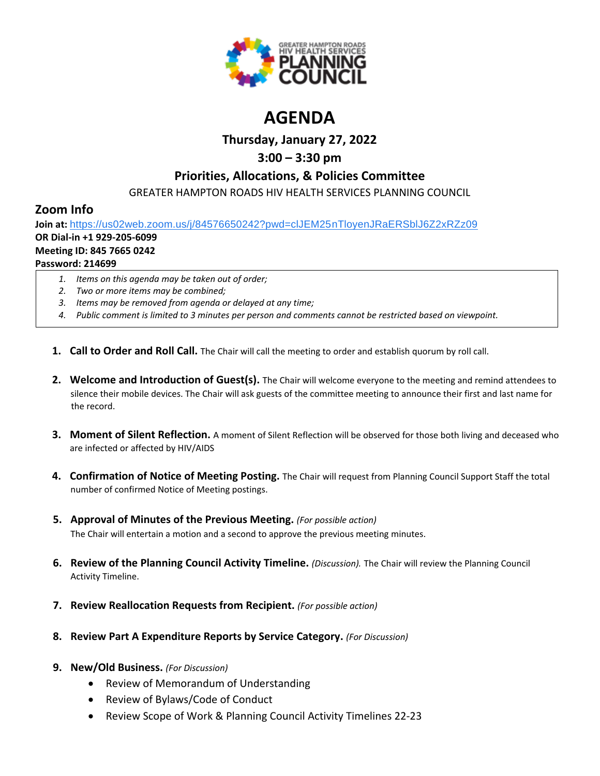

# **AGENDA**

# **Thursday, January 27, 2022**

# **3:00 – 3:30 pm**

## **Priorities, Allocations, & Policies Committee**

GREATER HAMPTON ROADS HIV HEALTH SERVICES PLANNING COUNCIL

# **Zoom Info**

**Join at:** [https://us02web.zoom.us/j/84576650242?pwd=clJEM25nTloyenJRaERSblJ6Z2xRZz09](https://www.google.com/url?q=https://us02web.zoom.us/j/84576650242?pwd%3DclJEM25nTloyenJRaERSblJ6Z2xRZz09&sa=D&source=calendar&ust=1616595038982000&usg=AOvVaw3sK6cNtpF8kGuryyzK0Ew9)

## **OR Dial-in +1 929-205-6099**

### **Meeting ID: 845 7665 0242**

## **Password: 214699**

- *1. Items on this agenda may be taken out of order;*
- *2. Two or more items may be combined;*
- *3. Items may be removed from agenda or delayed at any time;*
- *4. Public comment is limited to 3 minutes per person and comments cannot be restricted based on viewpoint.*
- **1. Call to Order and Roll Call.** The Chair will call the meeting to order and establish quorum by roll call.
- **2. Welcome and Introduction of Guest(s).** The Chair will welcome everyone to the meeting and remind attendees to silence their mobile devices. The Chair will ask guests of the committee meeting to announce their first and last name for the record.
- **3. Moment of Silent Reflection.** A moment of Silent Reflection will be observed for those both living and deceased who are infected or affected by HIV/AIDS
- **4. Confirmation of Notice of Meeting Posting.** The Chair will request from Planning Council Support Staff the total number of confirmed Notice of Meeting postings.
- **5. Approval of Minutes of the Previous Meeting.** *(For possible action)* The Chair will entertain a motion and a second to approve the previous meeting minutes.
- **6. Review of the Planning Council Activity Timeline.** *(Discussion).* The Chair will review the Planning Council Activity Timeline.
- **7. Review Reallocation Requests from Recipient.** *(For possible action)*
- **8. Review Part A Expenditure Reports by Service Category.** *(For Discussion)*
- **9. New/Old Business.** *(For Discussion)*
	- Review of Memorandum of Understanding
	- Review of Bylaws/Code of Conduct
	- Review Scope of Work & Planning Council Activity Timelines 22-23